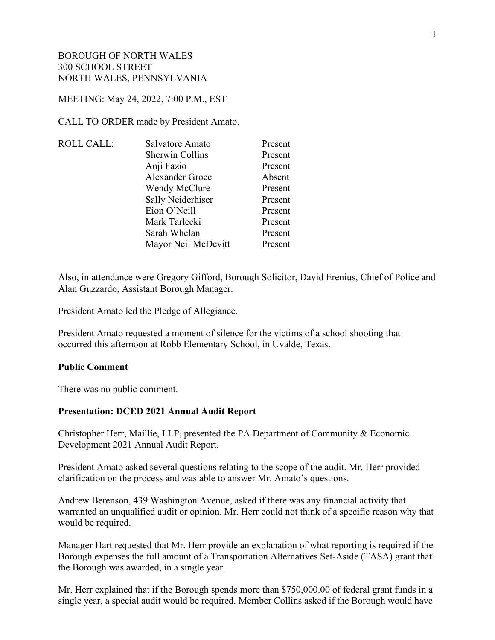#### MEETING: May 24, 2022, 7:00 P.M., EST

CALL TO ORDER made by President Amato.

| <b>ROLL CALL:</b> | Salvatore Amato     | Present |
|-------------------|---------------------|---------|
|                   | Sherwin Collins     | Present |
|                   | Anji Fazio          | Present |
|                   | Alexander Groce     | Absent  |
|                   | Wendy McClure       | Present |
|                   | Sally Neiderhiser   | Present |
|                   | Eion O'Neill        | Present |
|                   | Mark Tarlecki       | Present |
|                   | Sarah Whelan        | Present |
|                   | Mayor Neil McDevitt | Present |
|                   |                     |         |

Also, in attendance were Gregory Gifford, Borough Solicitor, David Erenius, Chief of Police and Alan Guzzardo, Assistant Borough Manager.

President Amato led the Pledge of Allegiance.

President Amato requested a moment of silence for the victims of a school shooting that occurred this afternoon at Robb Elementary School, in Uvalde, Texas.

#### **Public Comment**

There was no public comment.

#### **Presentation: DCED 2021 Annual Audit Report**

Christopher Herr, Maillie, LLP, presented the PA Department of Community & Economic Development 2021 Annual Audit Report.

President Amato asked several questions relating to the scope of the audit. Mr. Herr provided clarification on the process and was able to answer Mr. Amato's questions.

Andrew Berenson, 439 Washington Avenue, asked if there was any financial activity that warranted an unqualified audit or opinion. Mr. Herr could not think of a specific reason why that would be required.

Manager Hart requested that Mr. Herr provide an explanation of what reporting is required if the Borough expenses the full amount of a Transportation Alternatives Set-Aside (TASA) grant that the Borough was awarded, in a single year.

Mr. Herr explained that if the Borough spends more than \$750,000.00 of federal grant funds in a single year, a special audit would be required. Member Collins asked if the Borough would have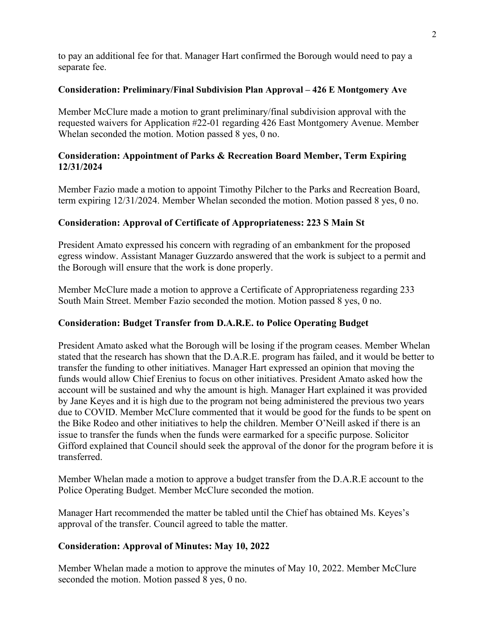to pay an additional fee for that. Manager Hart confirmed the Borough would need to pay a separate fee.

### **Consideration: Preliminary/Final Subdivision Plan Approval – 426 E Montgomery Ave**

Member McClure made a motion to grant preliminary/final subdivision approval with the requested waivers for Application #22-01 regarding 426 East Montgomery Avenue. Member Whelan seconded the motion. Motion passed 8 yes, 0 no.

# **Consideration: Appointment of Parks & Recreation Board Member, Term Expiring 12/31/2024**

Member Fazio made a motion to appoint Timothy Pilcher to the Parks and Recreation Board, term expiring 12/31/2024. Member Whelan seconded the motion. Motion passed 8 yes, 0 no.

# **Consideration: Approval of Certificate of Appropriateness: 223 S Main St**

President Amato expressed his concern with regrading of an embankment for the proposed egress window. Assistant Manager Guzzardo answered that the work is subject to a permit and the Borough will ensure that the work is done properly.

Member McClure made a motion to approve a Certificate of Appropriateness regarding 233 South Main Street. Member Fazio seconded the motion. Motion passed 8 yes, 0 no.

# **Consideration: Budget Transfer from D.A.R.E. to Police Operating Budget**

President Amato asked what the Borough will be losing if the program ceases. Member Whelan stated that the research has shown that the D.A.R.E. program has failed, and it would be better to transfer the funding to other initiatives. Manager Hart expressed an opinion that moving the funds would allow Chief Erenius to focus on other initiatives. President Amato asked how the account will be sustained and why the amount is high. Manager Hart explained it was provided by Jane Keyes and it is high due to the program not being administered the previous two years due to COVID. Member McClure commented that it would be good for the funds to be spent on the Bike Rodeo and other initiatives to help the children. Member O'Neill asked if there is an issue to transfer the funds when the funds were earmarked for a specific purpose. Solicitor Gifford explained that Council should seek the approval of the donor for the program before it is transferred.

Member Whelan made a motion to approve a budget transfer from the D.A.R.E account to the Police Operating Budget. Member McClure seconded the motion.

Manager Hart recommended the matter be tabled until the Chief has obtained Ms. Keyes's approval of the transfer. Council agreed to table the matter.

# **Consideration: Approval of Minutes: May 10, 2022**

Member Whelan made a motion to approve the minutes of May 10, 2022. Member McClure seconded the motion. Motion passed 8 yes, 0 no.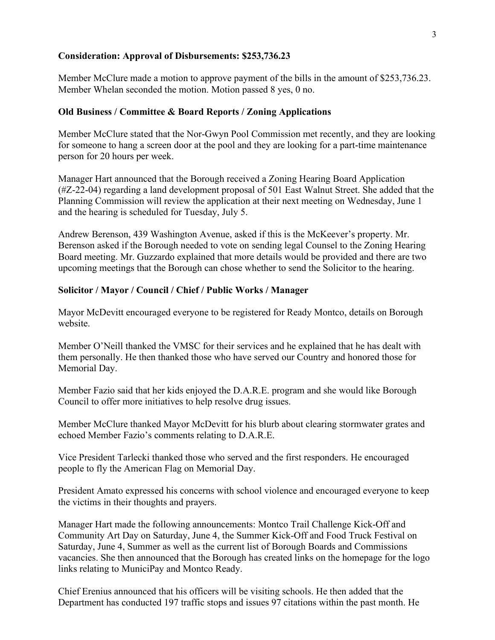### **Consideration: Approval of Disbursements: \$253,736.23**

Member McClure made a motion to approve payment of the bills in the amount of \$253,736.23. Member Whelan seconded the motion. Motion passed 8 yes, 0 no.

### **Old Business / Committee & Board Reports / Zoning Applications**

Member McClure stated that the Nor-Gwyn Pool Commission met recently, and they are looking for someone to hang a screen door at the pool and they are looking for a part-time maintenance person for 20 hours per week.

Manager Hart announced that the Borough received a Zoning Hearing Board Application (#Z-22-04) regarding a land development proposal of 501 East Walnut Street. She added that the Planning Commission will review the application at their next meeting on Wednesday, June 1 and the hearing is scheduled for Tuesday, July 5.

Andrew Berenson, 439 Washington Avenue, asked if this is the McKeever's property. Mr. Berenson asked if the Borough needed to vote on sending legal Counsel to the Zoning Hearing Board meeting. Mr. Guzzardo explained that more details would be provided and there are two upcoming meetings that the Borough can chose whether to send the Solicitor to the hearing.

#### **Solicitor / Mayor / Council / Chief / Public Works / Manager**

Mayor McDevitt encouraged everyone to be registered for Ready Montco, details on Borough website.

Member O'Neill thanked the VMSC for their services and he explained that he has dealt with them personally. He then thanked those who have served our Country and honored those for Memorial Day.

Member Fazio said that her kids enjoyed the D.A.R.E. program and she would like Borough Council to offer more initiatives to help resolve drug issues.

Member McClure thanked Mayor McDevitt for his blurb about clearing stormwater grates and echoed Member Fazio's comments relating to D.A.R.E.

Vice President Tarlecki thanked those who served and the first responders. He encouraged people to fly the American Flag on Memorial Day.

President Amato expressed his concerns with school violence and encouraged everyone to keep the victims in their thoughts and prayers.

Manager Hart made the following announcements: Montco Trail Challenge Kick-Off and Community Art Day on Saturday, June 4, the Summer Kick-Off and Food Truck Festival on Saturday, June 4, Summer as well as the current list of Borough Boards and Commissions vacancies. She then announced that the Borough has created links on the homepage for the logo links relating to MuniciPay and Montco Ready.

Chief Erenius announced that his officers will be visiting schools. He then added that the Department has conducted 197 traffic stops and issues 97 citations within the past month. He